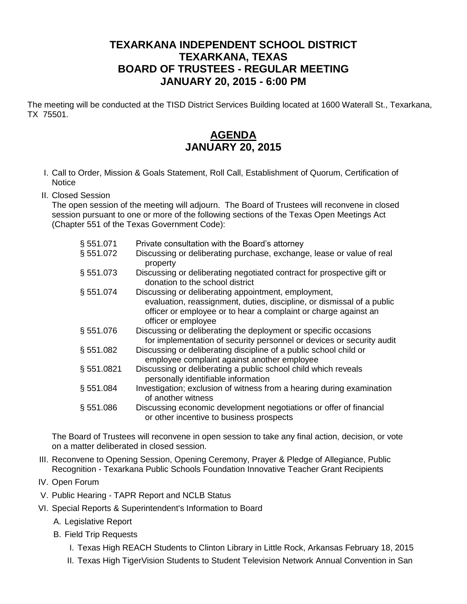## **TEXARKANA INDEPENDENT SCHOOL DISTRICT TEXARKANA, TEXAS BOARD OF TRUSTEES - REGULAR MEETING JANUARY 20, 2015 - 6:00 PM**

The meeting will be conducted at the TISD District Services Building located at 1600 Waterall St., Texarkana, TX 75501.

## **AGENDA JANUARY 20, 2015**

- I. Call to Order, Mission & Goals Statement, Roll Call, Establishment of Quorum, Certification of **Notice**
- II. Closed Session

The open session of the meeting will adjourn. The Board of Trustees will reconvene in closed session pursuant to one or more of the following sections of the Texas Open Meetings Act (Chapter 551 of the Texas Government Code):

| § 551.071 | Private consultation with the Board's attorney                                                                                                                   |
|-----------|------------------------------------------------------------------------------------------------------------------------------------------------------------------|
| §551.072  | Discussing or deliberating purchase, exchange, lease or value of real<br>property                                                                                |
| § 551.073 | Discussing or deliberating negotiated contract for prospective gift or<br>donation to the school district                                                        |
| § 551.074 | Discussing or deliberating appointment, employment,                                                                                                              |
|           | evaluation, reassignment, duties, discipline, or dismissal of a public<br>officer or employee or to hear a complaint or charge against an<br>officer or employee |
| §551.076  | Discussing or deliberating the deployment or specific occasions<br>for implementation of security personnel or devices or security audit                         |
| \$551.082 | Discussing or deliberating discipline of a public school child or<br>employee complaint against another employee                                                 |
| §551.0821 | Discussing or deliberating a public school child which reveals<br>personally identifiable information                                                            |
| § 551.084 | Investigation; exclusion of witness from a hearing during examination<br>of another witness                                                                      |
| § 551.086 | Discussing economic development negotiations or offer of financial<br>or other incentive to business prospects                                                   |

The Board of Trustees will reconvene in open session to take any final action, decision, or vote on a matter deliberated in closed session.

- III. Reconvene to Opening Session, Opening Ceremony, Prayer & Pledge of Allegiance, Public Recognition - Texarkana Public Schools Foundation Innovative Teacher Grant Recipients
- IV. Open Forum
- V. Public Hearing TAPR Report and NCLB Status
- VI. Special Reports & Superintendent's Information to Board
	- A. Legislative Report
	- B. Field Trip Requests
		- I. Texas High REACH Students to Clinton Library in Little Rock, Arkansas February 18, 2015
		- II. Texas High TigerVision Students to Student Television Network Annual Convention in San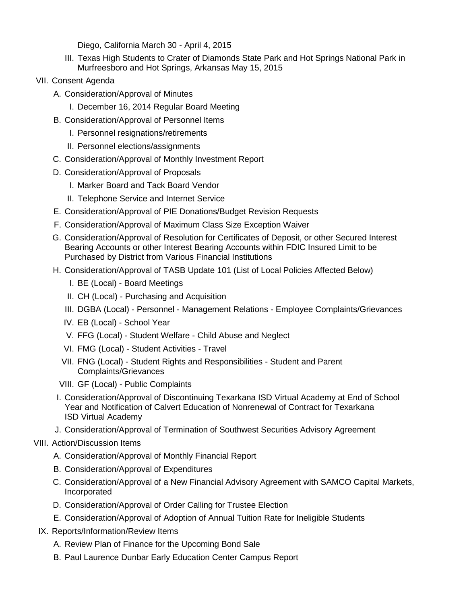Diego, California March 30 - April 4, 2015

- III. Texas High Students to Crater of Diamonds State Park and Hot Springs National Park in Murfreesboro and Hot Springs, Arkansas May 15, 2015
- VII. Consent Agenda
	- A. Consideration/Approval of Minutes
		- I. December 16, 2014 Regular Board Meeting
	- B. Consideration/Approval of Personnel Items
		- I. Personnel resignations/retirements
		- II. Personnel elections/assignments
	- C. Consideration/Approval of Monthly Investment Report
	- D. Consideration/Approval of Proposals
		- I. Marker Board and Tack Board Vendor
		- II. Telephone Service and Internet Service
	- E. Consideration/Approval of PIE Donations/Budget Revision Requests
	- F. Consideration/Approval of Maximum Class Size Exception Waiver
	- G. Consideration/Approval of Resolution for Certificates of Deposit, or other Secured Interest Bearing Accounts or other Interest Bearing Accounts within FDIC Insured Limit to be Purchased by District from Various Financial Institutions
	- H. Consideration/Approval of TASB Update 101 (List of Local Policies Affected Below)
		- I. BE (Local) Board Meetings
		- II. CH (Local) Purchasing and Acquisition
		- III. DGBA (Local) Personnel Management Relations Employee Complaints/Grievances
		- IV. EB (Local) School Year
		- V. FFG (Local) Student Welfare Child Abuse and Neglect
		- VI. FMG (Local) Student Activities Travel
		- VII. FNG (Local) Student Rights and Responsibilities Student and Parent Complaints/Grievances
		- VIII. GF (Local) Public Complaints
	- I. Consideration/Approval of Discontinuing Texarkana ISD Virtual Academy at End of School Year and Notification of Calvert Education of Nonrenewal of Contract for Texarkana ISD Virtual Academy
	- J. Consideration/Approval of Termination of Southwest Securities Advisory Agreement
- VIII. Action/Discussion Items
	- A. Consideration/Approval of Monthly Financial Report
	- B. Consideration/Approval of Expenditures
	- C. Consideration/Approval of a New Financial Advisory Agreement with SAMCO Capital Markets, Incorporated
	- D. Consideration/Approval of Order Calling for Trustee Election
	- E. Consideration/Approval of Adoption of Annual Tuition Rate for Ineligible Students
- IX. Reports/Information/Review Items
	- A. Review Plan of Finance for the Upcoming Bond Sale
	- B. Paul Laurence Dunbar Early Education Center Campus Report